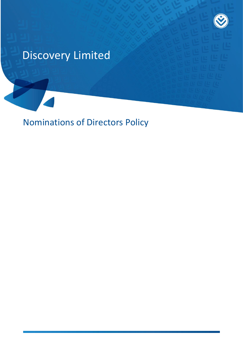

# Discovery Limited

Nominations of Directors Policy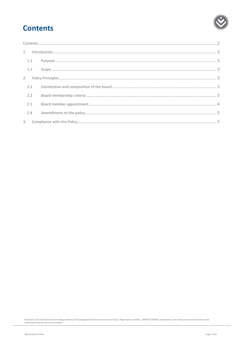## <span id="page-1-0"></span>**Contents**

| 1.1 |  |
|-----|--|
| 1.2 |  |
|     |  |
|     |  |
| 2.2 |  |
| 2.3 |  |
| 2.4 |  |
|     |  |

Discovery Ltd is the licensed controlling company of the designated Discovery Insurance Group. Registration number: 1999/007789/06. Companies in the Group are licensed insurers and<br>authorised financial services providers.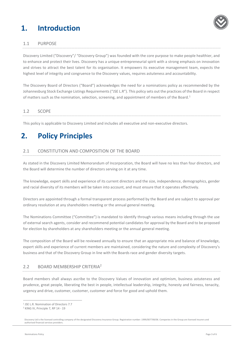## <span id="page-2-0"></span>**1. Introduction**



#### <span id="page-2-1"></span>1.1 PURPOSE

Discovery Limited ("Discovery"/ "Discovery Group") was founded with the core purpose to make people healthier, and to enhance and protect their lives. Discovery has a unique entrepreneurial spirit with a strong emphasis on innovation and strives to attract the best talent for its organisation. It empowers its executive management team, expects the highest level of integrity and congruence to the Discovery values, requires astuteness and accountability.

The Discovery Board of Directors ("Board") acknowledges the need for a nominations policy as recommended by the Johannesburg Stock Exchange Listings Requirements ("JSE L.R"). This policy sets out the practices of the Board in respect of matters such as the nomination, selection, screening, and appointment of members of the Board.<sup>1</sup>

#### <span id="page-2-2"></span>1.2 SCOPE

This policy is applicable to Discovery Limited and includes all executive and non-executive directors.

### <span id="page-2-3"></span>**2. Policy Principles**

### <span id="page-2-4"></span>2.1 CONSTITUTION AND COMPOSITION OF THE BOARD

As stated in the Discovery Limited Memorandum of Incorporation, the Board will have no less than four directors, and the Board will determine the number of directors serving on it at any time.

The knowledge, expert skills and experience of its current directors and the size, independence, demographics, gender and racial diversity of its members will be taken into account, and must ensure that it operates effectively.

Directors are appointed through a formal transparent process performed by the Board and are subject to approval per ordinary resolution at any shareholders meeting or the annual general meeting.

The Nominations Committee ("Committee") is mandated to identify through various means including through the use of external search agents, consider and recommend potential candidates for approval by the Board and to be proposed for election by shareholders at any shareholders meeting or the annual general meeting.

The composition of the Board will be reviewed annually to ensure that an appropriate mix and balance of knowledge, expert skills and experience of current members are maintained, considering the nature and complexity of Discovery's business and that of the Discovery Group in line with the Boards race and gender diversity targets.

#### <span id="page-2-5"></span>2.2 BOARD MEMBERSHIP CRITERIA<sup>2</sup>

Board members shall always ascribe to the Discovery Values of innovation and optimism, business astuteness and prudence, great people, liberating the best in people, intellectual leadership, integrity, honesty and fairness, tenacity, urgency and drive, customer, customer, customer and force for good and uphold them.

 $\overline{a}$ 

<sup>1</sup> JSE L.R. Nomination of Directors 7.7

<sup>2</sup> KING IV, Principle 7, RP 14 - 19

Discovery Ltd is the licensed controlling company of the designated Discovery Insurance Group. Registration number: 1999/007789/06. Companies in the Group are licensed insurers and authorised financial services providers.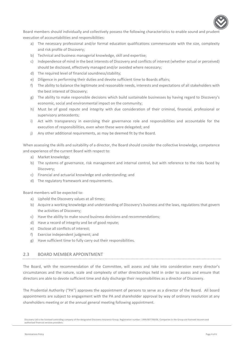

Board members should individually and collectively possess the following characteristics to enable sound and prudent execution of accountabilities and responsibilities:

- a) The necessary professional and/or formal education qualifications commensurate with the size, complexity and risk profile of Discovery;
- b) Technical and business managerial knowledge, skill and expertise;
- c) Independence of mind in the best interests of Discovery and conflicts of interest (whether actual or perceived) should be disclosed, effectively managed and/or avoided where necessary;
- d) The required level of financial soundness/stability;
- e) Diligence in performing their duties and devote sufficient time to Boards affairs;
- f) The ability to balance the legitimate and reasonable needs, interests and expectations of all stakeholders with the best interest of Discovery;
- g) The ability to make responsible decisions which build sustainable businesses by having regard to Discovery's economic, social and environmental impact on the community;
- h) Must be of good repute and integrity with due consideration of their criminal, financial, professional or supervisory antecedents;
- i) Act with transparency in exercising their governance role and responsibilities and accountable for the execution of responsibilities, even when these were delegated; and
- j) Any other additional requirements, as may be deemed fit by the Board.

When assessing the skills and suitability of a director, the Board should consider the collective knowledge, competence and experience of the current Board with respect to:

- a) Market knowledge;
- b) The systems of governance, risk management and internal control, but with reference to the risks faced by Discovery;
- c) Financial and actuarial knowledge and understanding; and
- d) The regulatory framework and requirements.

Board members will be expected to:

- a) Uphold the Discovery values at all times;
- b) Acquire a working knowledge and understanding of Discovery's business and the laws, regulations that govern the activities of Discovery;
- c) Have the ability to make sound business decisions and recommendations;
- d) Have a record of integrity and be of good repute;
- e) Disclose all conflicts of interest;
- f) Exercise independent judgment; and
- g) Have sufficient time to fully carry out their responsibilities.

### <span id="page-3-0"></span>2.3 BOARD MEMBER APPOINTMENT

The Board, with the recommendation of the Committee, will assess and take into consideration every director's circumstances and the nature, scale and complexity of other directorships held in order to assess and ensure that directors are able to devote sufficient time and duly discharge their responsibilities as a director of Discovery.

The Prudential Authority ("PA") approves the appointment of persons to serve as a director of the Board. All board appointments are subject to engagement with the PA and shareholder approval by way of ordinary resolution at any shareholders meeting or at the annual general meeting following appointment.

Discovery Ltd is the licensed controlling company of the designated Discovery Insurance Group. Registration number: 1999/007789/06. Companies in the Group are licensed insurers and authorised financial services providers.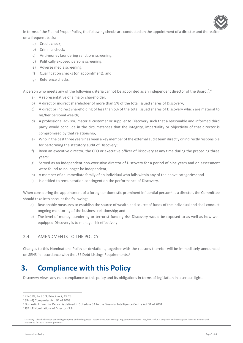In terms of the Fit and Proper Policy, the following checks are conducted on the appointment of a director and thereafte on a frequent basis:

- a) Credit check;
- b) Criminal check;
- c) Anti-money laundering sanctions screening;
- d) Politically exposed persons screening;
- e) Adverse media screening;
- f) Qualification checks (on appointment); and
- g) Reference checks.

A person who meets any of the following criteria cannot be appointed as an independent director of the Board:<sup>3</sup>;<sup>4</sup>

- a) A representative of a major shareholder;
- b) A direct or indirect shareholder of more than 5% of the total issued shares of Discovery;
- c) A direct or indirect shareholding of less than 5% of the total issued shares of Discovery which are material to his/her personal wealth;
- d) A professional advisor, material customer or supplier to Discovery such that a reasonable and informed third party would conclude in the circumstances that the integrity, impartiality or objectivity of that director is compromised by that relationship;
- e) Who in the past three years has been a key member of the external audit team directly or indirectly responsible for performing the statutory audit of Discovery;
- f) Been an executive director, the CEO or executive officer of Discovery at any time during the preceding three years;
- g) Served as an independent non-executive director of Discovery for a period of nine years and on assessment were found to no longer be independent;
- h) A member of an immediate family of an individual who falls within any of the above categories; and
- i) Is entitled to remuneration contingent on the performance of Discovery.

When considering the appointment of a foreign or domestic prominent influential person<sup>5</sup> as a director, the Committee should take into account the following:

- a) Reasonable measures to establish the source of wealth and source of funds of the individual and shall conduct ongoing monitoring of the business relationship; and
- b) The level of money laundering or terrorist funding risk Discovery would be exposed to as well as how well equipped Discovery is to manage risk effectively.

### <span id="page-4-0"></span>2.4 AMENDMENTS TO THE POLICY

Changes to this Nominations Policy or deviations, together with the reasons therefor will be immediately announced on SENS in accordance with the JSE Debt Listings Requirements.<sup>6</sup>

### <span id="page-4-1"></span>**3. Compliance with this Policy**

Discovery views any non-compliance to this policy and its obligations in terms of legislation in a serious light.

 $\overline{a}$ 

<sup>3</sup> KING IV, Part 5.3, Principle 7, RP 28

<sup>4</sup> S94 (4) Companies Act, 91 of 2008

<sup>5</sup> Domestic Influential Person is defined in Schedule 3A to the Financial Intelligence Centre Act 31 of 2001

<sup>6</sup> JSE L.R Nominations of Directors 7.8

Discovery Ltd is the licensed controlling company of the designated Discovery Insurance Group. Registration number: 1999/007789/06. Companies in the Group are licensed insurers and authorised financial services providers.